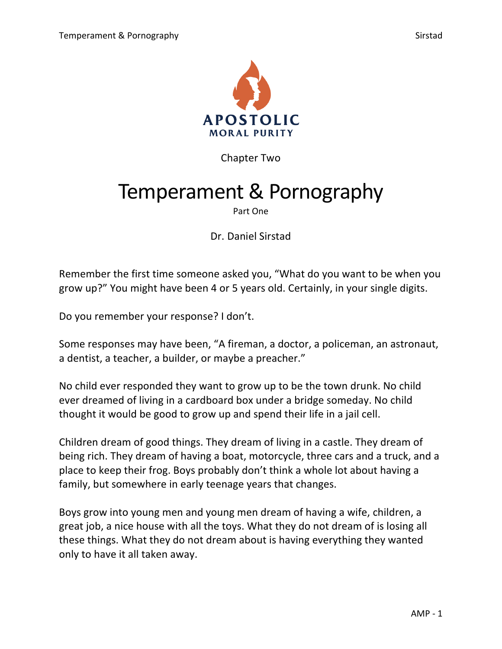

Chapter Two

# Temperament & Pornography

Part One

Dr. Daniel Sirstad

Remember the first time someone asked you, "What do you want to be when you grow up?" You might have been 4 or 5 years old. Certainly, in your single digits.

Do you remember your response? I don't.

Some responses may have been, "A fireman, a doctor, a policeman, an astronaut, a dentist, a teacher, a builder, or maybe a preacher."

No child ever responded they want to grow up to be the town drunk. No child ever dreamed of living in a cardboard box under a bridge someday. No child thought it would be good to grow up and spend their life in a jail cell.

Children dream of good things. They dream of living in a castle. They dream of being rich. They dream of having a boat, motorcycle, three cars and a truck, and a place to keep their frog. Boys probably don't think a whole lot about having a family, but somewhere in early teenage years that changes.

Boys grow into young men and young men dream of having a wife, children, a great job, a nice house with all the toys. What they do not dream of is losing all these things. What they do not dream about is having everything they wanted only to have it all taken away.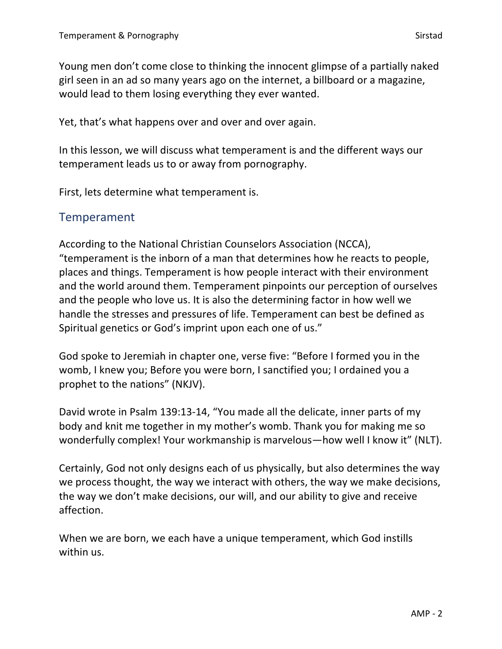Young men don't come close to thinking the innocent glimpse of a partially naked girl seen in an ad so many years ago on the internet, a billboard or a magazine, would lead to them losing everything they ever wanted.

Yet, that's what happens over and over and over again.

In this lesson, we will discuss what temperament is and the different ways our temperament leads us to or away from pornography.

First, lets determine what temperament is.

## Temperament

According to the National Christian Counselors Association (NCCA), "temperament is the inborn of a man that determines how he reacts to people, places and things. Temperament is how people interact with their environment and the world around them. Temperament pinpoints our perception of ourselves and the people who love us. It is also the determining factor in how well we handle the stresses and pressures of life. Temperament can best be defined as Spiritual genetics or God's imprint upon each one of us."

God spoke to Jeremiah in chapter one, verse five: "Before I formed you in the womb, I knew you; Before you were born, I sanctified you; I ordained you a prophet to the nations" (NKJV).

David wrote in Psalm 139:13-14, "You made all the delicate, inner parts of my body and knit me together in my mother's womb. Thank you for making me so wonderfully complex! Your workmanship is marvelous—how well I know it" (NLT).

Certainly, God not only designs each of us physically, but also determines the way we process thought, the way we interact with others, the way we make decisions, the way we don't make decisions, our will, and our ability to give and receive affection.

When we are born, we each have a unique temperament, which God instills within us.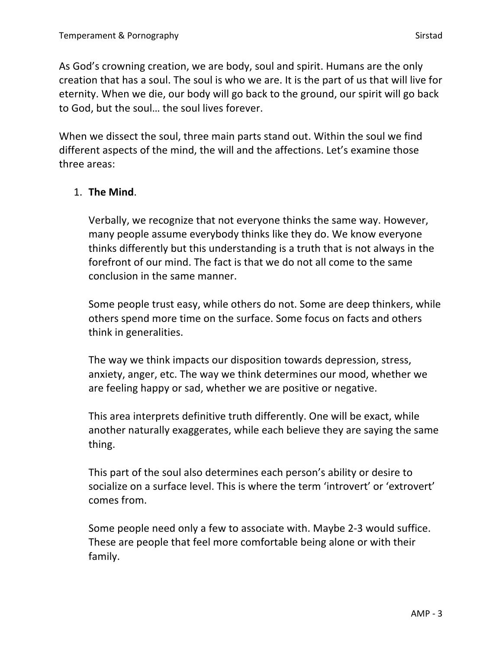As God's crowning creation, we are body, soul and spirit. Humans are the only creation that has a soul. The soul is who we are. It is the part of us that will live for eternity. When we die, our body will go back to the ground, our spirit will go back to God, but the soul… the soul lives forever.

When we dissect the soul, three main parts stand out. Within the soul we find different aspects of the mind, the will and the affections. Let's examine those three areas:

## 1. **The Mind**.

Verbally, we recognize that not everyone thinks the same way. However, many people assume everybody thinks like they do. We know everyone thinks differently but this understanding is a truth that is not always in the forefront of our mind. The fact is that we do not all come to the same conclusion in the same manner.

Some people trust easy, while others do not. Some are deep thinkers, while others spend more time on the surface. Some focus on facts and others think in generalities.

The way we think impacts our disposition towards depression, stress, anxiety, anger, etc. The way we think determines our mood, whether we are feeling happy or sad, whether we are positive or negative.

This area interprets definitive truth differently. One will be exact, while another naturally exaggerates, while each believe they are saying the same thing.

This part of the soul also determines each person's ability or desire to socialize on a surface level. This is where the term 'introvert' or 'extrovert' comes from.

Some people need only a few to associate with. Maybe 2-3 would suffice. These are people that feel more comfortable being alone or with their family.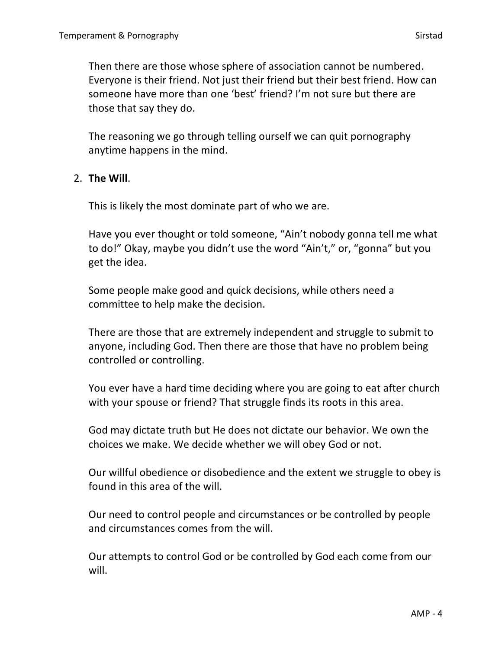Then there are those whose sphere of association cannot be numbered. Everyone is their friend. Not just their friend but their best friend. How can someone have more than one 'best' friend? I'm not sure but there are those that say they do.

The reasoning we go through telling ourself we can quit pornography anytime happens in the mind.

## 2. **The Will**.

This is likely the most dominate part of who we are.

Have you ever thought or told someone, "Ain't nobody gonna tell me what to do!" Okay, maybe you didn't use the word "Ain't," or, "gonna" but you get the idea.

Some people make good and quick decisions, while others need a committee to help make the decision.

There are those that are extremely independent and struggle to submit to anyone, including God. Then there are those that have no problem being controlled or controlling.

You ever have a hard time deciding where you are going to eat after church with your spouse or friend? That struggle finds its roots in this area.

God may dictate truth but He does not dictate our behavior. We own the choices we make. We decide whether we will obey God or not.

Our willful obedience or disobedience and the extent we struggle to obey is found in this area of the will.

Our need to control people and circumstances or be controlled by people and circumstances comes from the will.

Our attempts to control God or be controlled by God each come from our will.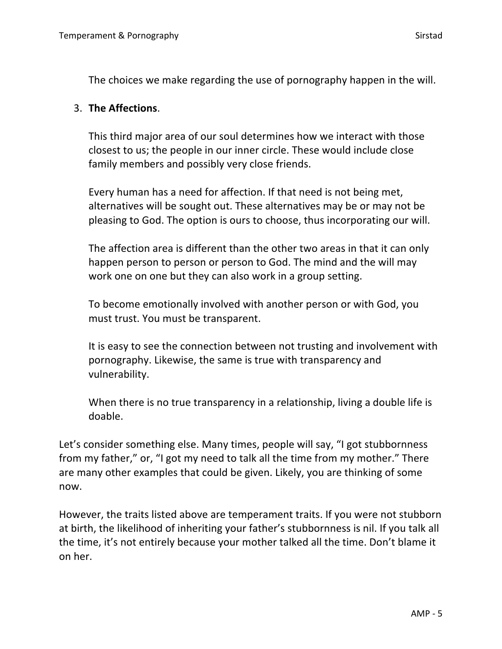The choices we make regarding the use of pornography happen in the will.

### 3. **The Affections**.

This third major area of our soul determines how we interact with those closest to us; the people in our inner circle. These would include close family members and possibly very close friends.

Every human has a need for affection. If that need is not being met, alternatives will be sought out. These alternatives may be or may not be pleasing to God. The option is ours to choose, thus incorporating our will.

The affection area is different than the other two areas in that it can only happen person to person or person to God. The mind and the will may work one on one but they can also work in a group setting.

To become emotionally involved with another person or with God, you must trust. You must be transparent.

It is easy to see the connection between not trusting and involvement with pornography. Likewise, the same is true with transparency and vulnerability.

When there is no true transparency in a relationship, living a double life is doable.

Let's consider something else. Many times, people will say, "I got stubbornness from my father," or, "I got my need to talk all the time from my mother." There are many other examples that could be given. Likely, you are thinking of some now.

However, the traits listed above are temperament traits. If you were not stubborn at birth, the likelihood of inheriting your father's stubbornness is nil. If you talk all the time, it's not entirely because your mother talked all the time. Don't blame it on her.